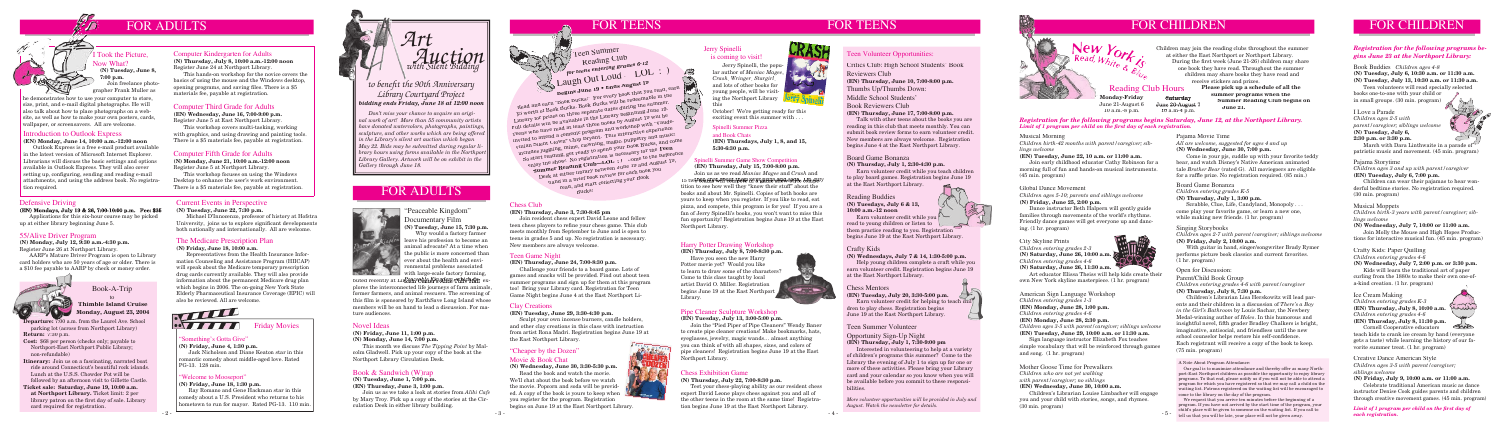

**Departure:** 7:00 a.m. from the Laurel Ave. School parking lot (across from Northport Library) **Return:** 7:30 p.m.

**Cost:** \$68 per person (checks only; payable to Northport-East Northport Public Library; non-refundable)

**Itinerary:** Join us on a fascinating, narrated boat ride around Connecticut's beautiful rock islands. Lunch at the U.S.S. Chowder Pot will be followed by an afternoon visit to Gillette Castle.

**Ticket sale: Saturday, June 19, 10:00 a.m. at Northport Library.** Ticket limit: 2 per library patron on the first day of sale. Library card required for registration.

Book-A-Trip

#### to **Thimble Island Cruise Monday, August 23, 2004**

## The Medicare Prescription Plan

#### *Registration for the following programs begins Saturday, June 12, at the Northport Library.*  Limit of 1 program per child on the first day of each registration.

**(N) Friday, June 18, 10:00 a.m.**

Representatives from the Health Insurance Information Counseling and Assistance Program (HIICAP) will speak about the Medicare temporary prescription drug cards currently available. They will also provide information about the permanent Medicare drug plan which begins in 2006. The on-going New York State Elderly Pharmaceutical Insurance Coverage (EPIC) will also be reviewed. All are welcome.



**Friday Movies** 

Children may join the reading clubs throughout the summer<br>at either the East Northport or Northport Library.<br>During the first week (June 21-26) children may share at either the East Northport or Northport Library. During the first week (June 21-26) children may share one book they have read. Throughout the summer children may share books they have read and receive stickers and prizes. **Please pick up a schedule of all the** 



#### Defensive Driving

**(EN) Mondays, July 19 & 26, 7:00-10:00 p.m. Fee: \$35** Applications for this six-hour course may be picked up at either library beginning June 5.

#### *Registration for the following programs begins June 23 at the Northport Library:*

Earn volunteer credit while you  $\mathbb{R}$ read to young children or listen to  $rac{1}{2}$ them practice reading to you. Registration begins June 19 at the East Northport Library.

 **summer programs when the Summer Reading Club begins on June 21.**

**Monday-Friday** June 21-August 6 10 a.m.-8 p.m.

**Saturday** June 26-August 7 Reading Club Hours

10 a.m-4 p.m.

*Limit of 1 program per child on the fi rst day of each registration.*

#### Teen Volunteer Opportunities:

#### Chess Mentors

**(EN) Tuesday, July 20, 3:30-5:00 p.m.** Earn volunteer credit for helping to teach children to play chess. Registration begins June 19 at the East Northport Library.

#### Crafty Kids

#### **(N) Wednesdays, July 7 & 14, 1:30-5:00 p.m.**

 Help young children complete a craft while you earn volunteer credit. Registration begins June 19 at the East Northport Library.

#### Reading Buddies **(N) Tuesdays, July 6 & 13, 10:00 a.m.-12 noon**

#### Board Game Bonanza

#### **(N) Thursday, July 1, 2:30-4:30 p.m.**

 Earn volunteer credit while you teach children to play board games. Registration begins June 19 at the East Northport Library.

Critics Club: High School Students' Book Reviewers Club **(EN) Thursday, June 10, 7:00-8:00 p.m.** Thumbs Up/Thumbs Down: Middle School Students' Book Reviewers Club **(EN) Thursday, June 17, 7:00-8:00 p.m.** Talk with other teens about the books you are

Read and earn "Book Bucks!" For every book that you read, earn neau and earl Dook Ducks. For every book that you read, earliest pook bucks. Book Bucks will be redeemable in the WE THE RIGHT OF DRIVE DATE: Lutrary for prizes on three separate traves during the summer. Tull details will be available in the moraly beginning out Ly.<br>Teens who have read at least three books by August 19 will be Icens with the read at Read the Books of Tugust 10 with "Vaude-<br>invited to attend a comedic program and workshop with "Vaude-Invited to attend a content program and workshop with value-<br>villian Silent Clown" Chip Bryant. This interactive experience villar puede clown city product this morneuve experience! moduce Juggmug, mime, crowning, magic, puppeary and music.<br>So start reading, get ready to spend your Book Bucks, and come enjoy the show! No registration is necessary for the **Teen** enjoy the show! No registration is necessary for the  $\Gamma$ en Enjoy the Show: IND registration is necessary for the **Teen**<br>Summer Reading Club—LOL :) Come to the Reference Desk at either library between June 19 and August 19, hand in a brief book review for each book you read, and start collecting your Book<br>read, and start collecting your Book Bucks!

reading in this club that meets monthly. You can submit book review forms to earn volunteer credit. New members are always welcome. Registration begins June 4 at the East Northport Library.

*More volunteer opportunities will be provided in July and August. Watch the newsletter for details.*





#### Chess Exhibition Game

#### **(N) Thursday, July 22, 7:00-8:30 p.m.**

 Test your chess-playing ability as our resident chess expert David Leone plays chess against you and all of the other teens in the room at the same time! Registration begins June 19 at the East Northport Library.



Jerry Spinelli, the popular author of *Maniac Magee*, *Crash*, *Wringer*, *Stargirl*, and lots of other books for young people, will be visiting the Northport Library this

October! We're getting ready for this exciting event this summer with . . .

> Scrabble, Clue, Life, Candyland, Monopoly. come play your favorite game, or learn a new one, while making new friends. (1 hr. program)

 Come in your pjs, cuddle up with your favorite teddy bear, and watch Disney's Native American animated tale *Brother Bear* (rated G). All moviegoers are eligible for a raffle prize. No registration required. (85 min.)

Spinelli Summer Pizza and Book Chats **(EN) Thursdays, July 1, 8, and 15, 5:30-6:30 p.m.**

#### Pipe Cleaner Sculpture Workshop

**(EN) Tuesday, July 13, 3:00-5:00 p.m.**

 Join the "Pied Piper of Pipe Cleaners" Wendy Baner to create pipe cleaner creations! Make bookmarks, hats, eyeglasses, jewelry, magic wands… almost anything you can think of with all shapes, sizes, and colors of pipe cleaners! Registration begins June 19 at the East Northport Library.

#### Harry Potter Drawing Workshop

#### **(EN) Thursday, July 8, 7:00-8:30 p.m.**

Art educator Elissa Theiss will help kids create their own New York skyline masterpiece. (1 hr. program)

 Have you seen the new Harry Potter movie yet? Would you like to learn to draw some of the characters? Come to this class taught by local artist David O. Miller. Registration begins June 19 at the East Northport Library.

#### "Cheaper by the Dozen"

#### Movie & Book Chat

**(N) Wednesday, June 30, 3:30-5:30 p.m.** Read the book and watch the movie. We'll chat about the book before we watch the movie. Popcorn and soda will be provided. A copy of the book is yours to keep when you register for the program. Registration begins on June 19 at the East Northport Library.

#### Clay Creations

#### **(EN) Tuesday, June 29, 3:30-4:30 p.m.**

 Sculpt your own incense burners, candle holders, and other clay creations in this class with instruction from artist Rona Madri. Registration begins June 19 at the East Northport Library.

#### Teen Game Night

#### **(EN) Thursday, June 24, 7:00-8:30 p.m.**

 Challenge your friends to a board game. Lots of games and snacks will be provided. Find out about teen summer programs and sign up for them at this program too! Bring your Library card. Registration for Teen Game Night begins June 4 at the East Northport Li-

#### Took the Picture, Now What?  **(N) Tuesday, June 8, 7:00 p.m.**

**(EN) Monday, June 14, 10:00 a.m.-12:00 noon** Outlook Express is a free e-mail product available in the latest version of Microsoft Internet Explorer. Librarians will discuss the basic settings and options available in Outlook Express. They will also cover setting up, configuring, sending and reading e-mail attachments, and using the address book. No registration required.

#### Chess Club

#### **(EN) Thursday, June 3, 7:30-8:45 pm**

 Join resident chess expert David Leone and fellow teen chess players to refine your chess game. This club meets monthly from September to June and is open to teens in grades 5 and up. No registration is necessary. New members are always welcome.

## FOR TEENS

#### Musical Morning

*Children birth-42 months with parent/caregiver; siblings welcome*

New

Read,  $W<sub>hite</sub>$ 

#### **(EN) Tuesday, June 22, 10 a.m. or 11:00 a.m.**

buted recently at Lin<sup>2</sup>c06@la*Kig2*d0w7which dt, explores the interconnected life journeys of farm animals, former farmers, and animal rescuers. The screening of this film is sponsored by EarthSave Long Island whose members will be on hand to lead a discussion. For mature audiences.

 Join early childhood educator Cathy Robinson for a morning full of fun and hands-on musical instruments. (45 min. program)

#### Open for Discussion:

Parent/Child Book Group *Children entering grades 4-6 with parent/caregiver*

#### **(N) Thursday, July 8, 7:30 p.m.**

he demonstrates how to use your computer to store. size, print, and e-mail digital photographs. He will also talk about how to place photographs on a website, as well as how to make your own posters, cards, wallpaper, or screensavers. All are welcome.

> Children's Librarian Lisa Herskowitz will lead parents and their children in a discussion of *There's a Boy in the Girl's Bathroom* by Louis Sachar, the Newbery Medal-winning author of *Holes*. In this humorous and insightful novel, fifth grader Bradley Chalkers is bright, imaginative, antisocial, and friendless until the new school counselor helps restore his self-confidence. Each registrant will receive a copy of the book to keep. (75 min. program)

#### Singing Storybooks

*Children ages 2-7 with parent/caregiver; siblings welcome* **(N) Friday, July 2, 10:00 a.m.** 

 With guitar in hand, singer/songwriter Brady Rymer performs picture book classics and current favorites. (1 hr. program)

#### Board Game Bonanza

*Children entering grades K-5*

**(N) Thursday, July 1, 3:00 p.m.** 

Pajama Movie Time

*All are welcome, suggested for ages 4 and up* **(N) Wednesday, June 30, 7:00 p.m.** 

Laugh Out Loud — LOL Teen Summer Reading Club *for teens entering grades 6-12*

#### Mother Goose Time for Prewalkers *Children who are not yet walking with parent/caregiver; no siblings*

#### **(EN) Wednesday, June 30, 10:00 a.m.**

 Children's Librarian Louise Limbacher will engage you and your child with stories, songs, and rhymes. (30 min. program)

#### American Sign Language Workshop

*Children entering grades 1-3* **(EN) Monday, June 28, 1:00 p.m.** 

*Children entering grades 4-6*

**(EN) Monday, June 28, 2:30 p.m.** 

*Children ages 3-5 with parent/caregiver; siblings welcome*

#### **(EN) Tuesday, June 29, 10:00 a.m. or 11:30 a.m.**

Sign language instructor Elizabeth Fox teaches simple vocabulary that will be reinforced through games and song. (1 hr. program)

#### City Skyline Prints

*Children entering grades 2-3* **(N) Saturday, June 26, 10:00 a.m.**  *Children entering grades 4-6* **(N) Saturday, June 26, 11:30 a.m.**



#### Global Dance Movement

*Children ages 5-10; parents and siblings welcome* **(N) Friday, June 25, 2:00 p.m.** 

 Dance instructor Beth Halpern will gently guide families through movements of the world's rhythms. Friendly dance games will get everyone up and dancing. (1 hr. program)

Book Buddies *Children ages 4-8*

**(N) Tuesday, July 6, 10:30 a.m. or 11:30 a.m. (N) Tuesday, July 13, 10:30 a.m. or 11:30 a.m.** 

 Teen volunteers will read specially selected books one-to-one with your child or in small groups. (30 min. program)

#### Creative Dance American Style

*Children ages 3-5 with parent/caregiver; siblings welcome*

## **(N) Friday, July 9, 10:00 a.m. or 11:00 a.m.**  Celebrate traditional American music as dance

instructor Denise Cook guides parents and children through creative movement games. (45 min. program)

#### Ice Cream Making

*Children entering grades K-3* **(EN) Thursday, July 8, 10:00 a.m.**  *Children entering grades 4-6*



#### **(EN) Thursday, July 8, 11:30 p.m.**

 Cornell Cooperative educators teach kids to crank ice cream by hand (everyone gets a taste) while learning the history of our favorite summer treat. (1 hr. program)

#### Crafty Kids: Paper Quilling

#### *Children entering grades 4-6*

**(N) Wednesday, July 7, 2:00 p.m. or 3:30 p.m.** 

 Kids will learn the traditional art of paper curling from the 1880s to make their own one-ofa-kind creation. (1 hr. program)

#### Musical Moppets

*Children birth-3 years with parent/caregiver; siblings welcome*

#### **(N) Wednesday, July 7, 10:00 or 11:00 a.m.**

 Join Molly the Mouse and High Hopes Productions for interactive musical fun. (45 min. program)

#### Pajama Storytime

*Children ages 3 and up with parent/caregiver* **(EN) Tuesday, July 6, 7:00 p.m.** 

 Children can wear their pajamas to hear wonderful bedtime stories. No registration required. (30 min. program)

#### I Love a Parade

*Children ages 2-5 with parent/caregiver; siblings welcome* **(N) Tuesday, July 6, 2:30 p.m. or 3:30 p.m.** 

 March with Dara Linthwaite in a parade of patriotic music and movement. (45 min. program)

#### Computer Kindergarten for Adults

**(N) Thursday, July 8, 10:00 a.m.-12:00 noon** Register June 24 at Northport Library.

 This hands-on workshop for the novice covers the basics of using the mouse and the Windows desktop, opening programs, and saving files. There is a \$5 materials fee, payable at registration.

#### Computer Third Grade for Adults

**(EN) Wednesday, June 16, 7:00-9:00 p.m.** Register June 5 at East Northport Library.

 This workshop covers multi-tasking, working with graphics, and using drawing and painting tools. There is a \$5 materials fee, payable at registration.

#### Computer Fifth Grade for Adults

**(N) Monday, June 21, 10:00 a.m.-12:00 noon** Register June 5 at Northport Library.

 This workshop focuses on using the Windows Desktop to enhance the user's work environment. There is a \$5 materials fee, payable at registration.

 Join freelance photographer Frank Muller as

#### Introduction to Outlook Express

"Peaceable Kingdom" Documentary Film **(N) Tuesday, June 15, 7:30 p.m.**

 Why would a factory farmer leave his profession to become an animal advocate? At a time when the public is more concerned than ever about the health and environmental problems associated



#### 55/Alive Driver Program

**(N) Monday, July 12, 9:30 a.m.-4:30 p.m.** Register June 26 at Northport Library.

 AARP's Mature Driver Program is open to Library card holders who are 50 years of age or older. There is a \$10 fee payable to AARP by check or money order.



## FOR ADULTS

#### Novel Ideas

**(N) Friday, June 11, 1:00 p.m.**

**(N) Monday, June 14, 7:00 p.m.**

 This month we discuss *The Tipping Point* by Malcolm Gladwell. Pick up your copy of the book at the Northport Library Circulation Desk.

#### Book & Sandwich (W)rap

**(N) Tuesday, June 1, 7:00 p.m. (EN) Thursday, June 3, 1:00 p.m.**

Join us as we take a look at stories from *Alibi Cafe*  by Mary Troy. Pick up a copy of the stories at the Circulation Desk in either library building.

#### Spinelli Summer Game Show Competition

#### Jerry Spinelli is coming to visit!

**(EN) Thursday, July 15, 7:00-8:00 p.m.** Join us as we read *Maniac Magee* and *Crash* and 15 twthen ahat ilbeunt bene invergnizza show-stode. Om July tition to see how well they "know their stuff" about the books and about Mr. Spinelli. Copies of both books are yours to keep when you register. If you like to read, eat pizza, and compete, this program is for you! If you are a fan of Jerry Spinelli's books, you won't want to miss this fun opportunity! Registration begins June 19 at the East Northport Library.

#### "Welcome to Mooseport"

**(N) Friday, June 18, 1:30 p.m.**

Ray Romano and Gene Hackman star in this comedy about a U.S. President who returns to his hometown to run for mayor. Rated PG-13. 110 min.

#### "Something's Gotta Give"

**(N) Friday, June 4, 1:30 p.m.**

Jack Nicholson and Diane Keaton star in this romantic comedy about middle-aged love. Rated PG-13. 128 min.

#### Current Events in Perspective

#### **(N) Tuesday, June 22, 7:30 p.m.**

 Michael D'Innocenzo, professor of history at Hofstra University, joins us to explore significant developments both nationally and internationally. All are welcome.

#### Teen Summer Volunteer

#### Opportunity Sign-Up Night **(EN) Thursday, July 1, 7:30-9:00 pm**

 Interested in volunteering to help at a variety of children's programs this summer? Come to the Library the evening of July 1 to sign up for one or more of these activities. Please bring your Library card and your calendar so you know when you will be available before you commit to these responsibilities.

**Begins June 19 • Ends August 19**

#### *bidding ends Friday, June 18 at 12:00 noon to benefi t the 90th Anniversary Library Courtyard Project*



*Don't miss your chance to acquire an original work of art! More than 55 community artists have donated watercolors, photographs, paintings, sculpture, and other works which are being offered in the Library's silent art auction which began May 22. Bids may be submitted during regular library hours using forms available in the Northport Library Gallery. Artwork will be on exhibit in the Gallery through June 18.*

#### A Note About Program Attendance:

 Our goal is to maximize attendance and thereby offer as many Northport-East Northport children as possible the opportunity to enjoy library programs. To that end, please notify us if you will not be able to attend a program for which you have registered so that we may call a child on the waiting list. Patrons registered on the waiting list will be encouraged to come to the library on the day of the program.

 We request that you arrive ten minutes before the beginning of a program. If you have not arrived by the start time of the program, your child's place will be given to someone on the waiting list. If you call to tell us that you will be late, your place will not be given away.

# FOR TEENS FOR CHILDREN FOR CHILDREN FOR CHILDREN FOR CHILDREN